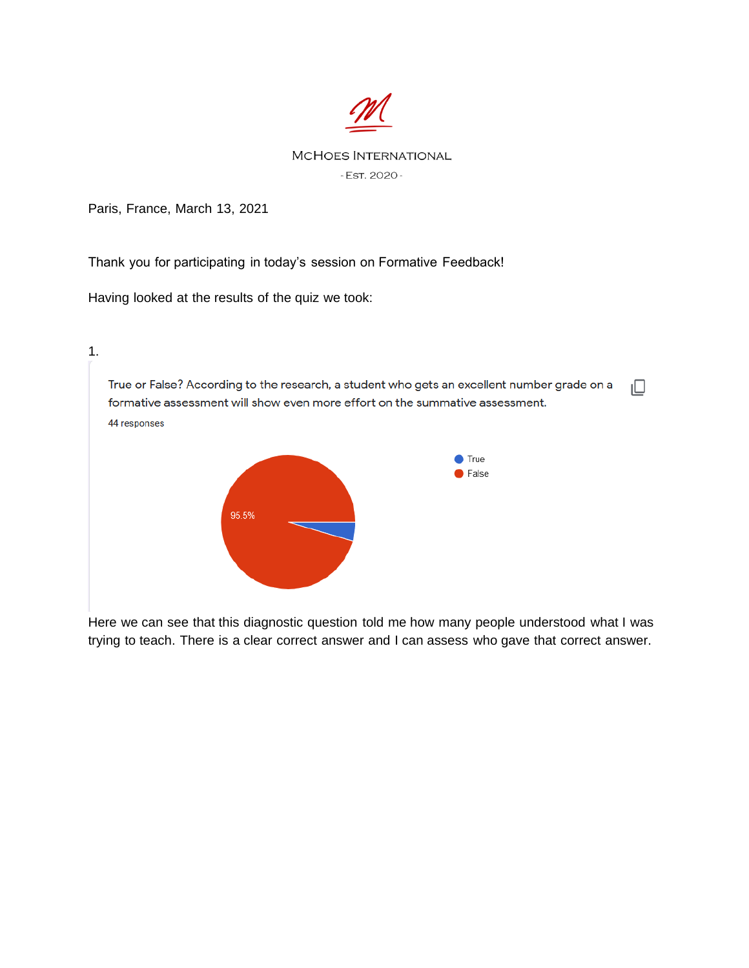

## **MCHOES INTERNATIONAL** - EST. 2020 -

Paris, France, March 13, 2021

Thank you for participating in today's session on Formative Feedback!

Having looked at the results of the quiz we took:



Here we can see that this diagnostic question told me how many people understood what I was trying to teach. There is a clear correct answer and I can assess who gave that correct answer.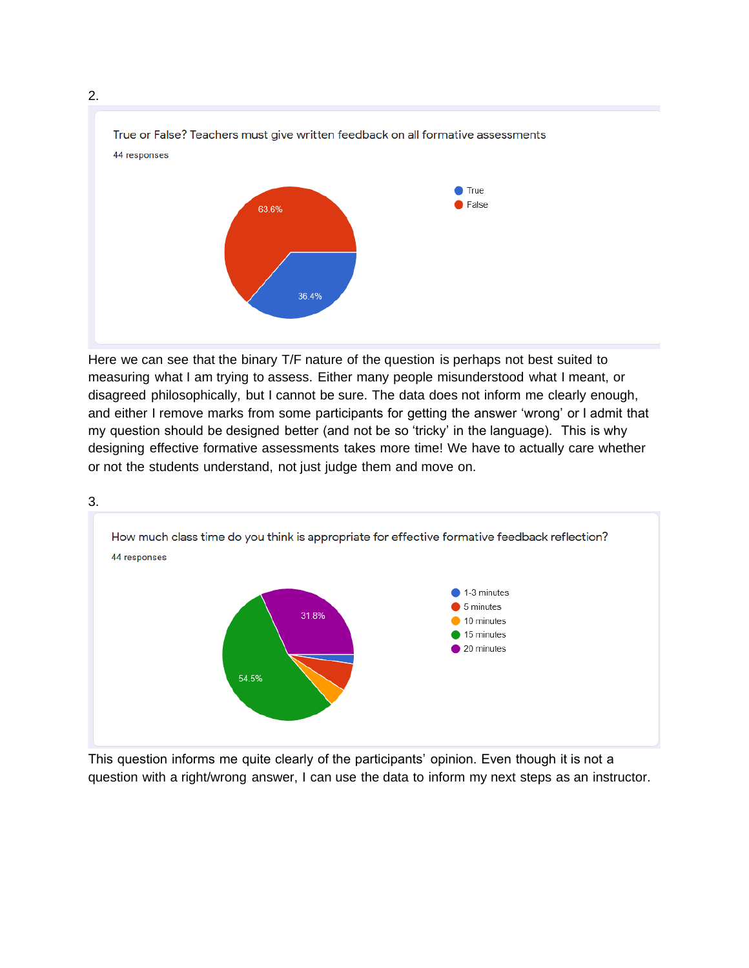



Here we can see that the binary T/F nature of the question is perhaps not best suited to measuring what I am trying to assess. Either many people misunderstood what I meant, or disagreed philosophically, but I cannot be sure. The data does not inform me clearly enough, and either I remove marks from some participants for getting the answer 'wrong' or I admit that my question should be designed better (and not be so 'tricky' in the language). This is why designing effective formative assessments takes more time! We have to actually care whether or not the students understand, not just judge them and move on.



This question informs me quite clearly of the participants' opinion. Even though it is not a question with a right/wrong answer, I can use the data to inform my next steps as an instructor.